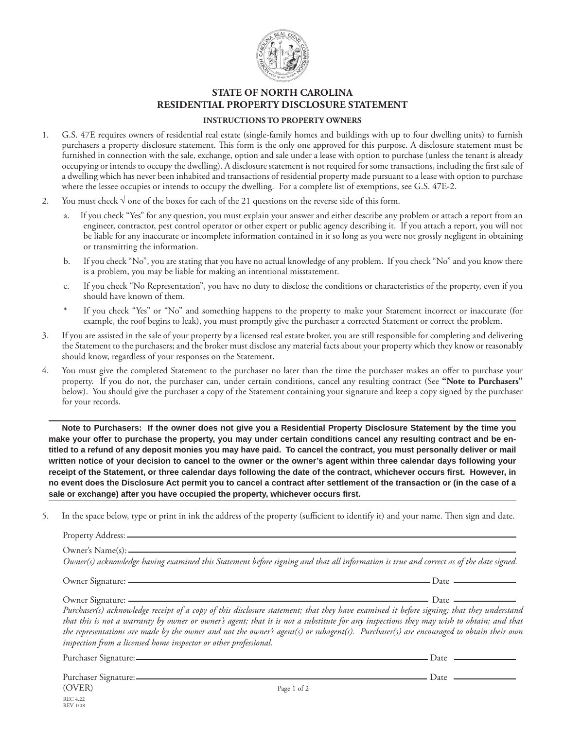

## **STATE OF NORTH CAROLINA RESIDENTIAL PROPERTY DISCLOSURE STATEMENT**

## **INSTRUCTIONS TO PROPERTY OWNERS**

- 1. G.S. 47E requires owners of residential real estate (single-family homes and buildings with up to four dwelling units) to furnish purchasers a property disclosure statement. This form is the only one approved for this purpose. A disclosure statement must be furnished in connection with the sale, exchange, option and sale under a lease with option to purchase (unless the tenant is already occupying or intends to occupy the dwelling). A disclosure statement is not required for some transactions, including the first sale of a dwelling which has never been inhabited and transactions of residential property made pursuant to a lease with option to purchase where the lessee occupies or intends to occupy the dwelling. For a complete list of exemptions, see G.S. 47E-2.
- 2. You must check  $\sqrt{ }$  one of the boxes for each of the 21 questions on the reverse side of this form.
	- a. If you check "Yes" for any question, you must explain your answer and either describe any problem or attach a report from an engineer, contractor, pest control operator or other expert or public agency describing it. If you attach a report, you will not be liable for any inaccurate or incomplete information contained in it so long as you were not grossly negligent in obtaining or transmitting the information.
	- b. If you check "No", you are stating that you have no actual knowledge of any problem. If you check "No" and you know there is a problem, you may be liable for making an intentional misstatement.
	- c. If you check "No Representation", you have no duty to disclose the conditions or characteristics of the property, even if you should have known of them.
	- If you check "Yes" or "No" and something happens to the property to make your Statement incorrect or inaccurate (for example, the roof begins to leak), you must promptly give the purchaser a corrected Statement or correct the problem.
- 3. If you are assisted in the sale of your property by a licensed real estate broker, you are still responsible for completing and delivering the Statement to the purchasers; and the broker must disclose any material facts about your property which they know or reasonably should know, regardless of your responses on the Statement.
- 4. You must give the completed Statement to the purchaser no later than the time the purchaser makes an offer to purchase your property. If you do not, the purchaser can, under certain conditions, cancel any resulting contract (See **"Note to Purchasers"** below). You should give the purchaser a copy of the Statement containing your signature and keep a copy signed by the purchaser for your records.

**Note to Purchasers: If the owner does not give you a Residential Property Disclosure Statement by the time you make your offer to purchase the property, you may under certain conditions cancel any resulting contract and be entitled to a refund of any deposit monies you may have paid. To cancel the contract, you must personally deliver or mail written notice of your decision to cancel to the owner or the owner's agent within three calendar days following your receipt of the Statement, or three calendar days following the date of the contract, whichever occurs fi rst. However, in no event does the Disclosure Act permit you to cancel a contract after settlement of the transaction or (in the case of a sale or exchange) after you have occupied the property, whichever occurs fi rst.**

5. In the space below, type or print in ink the address of the property (sufficient to identify it) and your name. Then sign and date.

| Property Address: - |  |
|---------------------|--|
|---------------------|--|

Owner's Name(s):

*Owner(s) acknowledge having examined this Statement before signing and that all information is true and correct as of the date signed.*

Owner Signature: <u>Date</u>

Owner Signature: Date

*Purchaser(s) acknowledge receipt of a copy of this disclosure statement; that they have examined it before signing; that they understand that this is not a warranty by owner or owner's agent; that it is not a substitute for any inspections they may wish to obtain; and that the representations are made by the owner and not the owner's agent(s) or subagent(s). Purchaser(s) are encouraged to obtain their own inspection from a licensed home inspector or other professional.*

Purchaser Signature: Date 2008